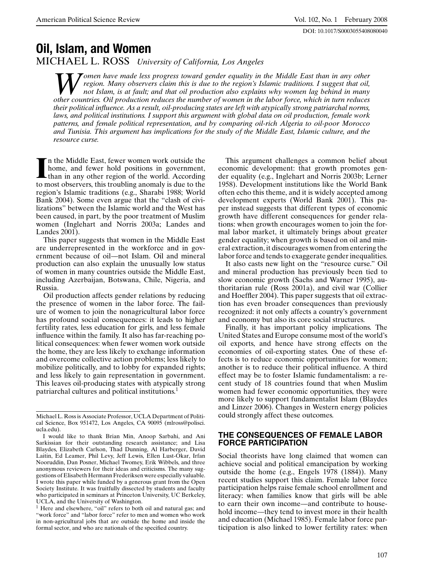DOI: 10.1017/S0003055408080040

# **Oil, Islam, and Women**

MICHAEL L. ROSS *University of California, Los Angeles*

*Women have made less progress toward gender equality in the Middle East than in any other region. Many observers claim this is due to the region's Islamic traditions. I suggest that oil, not Islam, is at fault; and that oil production also explains why women lag behind in many other countries. Oil production reduces the number of women in the labor force, which in turn reduces their political influence. As a result, oil-producing states are left with atypically strong patriarchal norms, laws, and political institutions. I support this argument with global data on oil production, female work patterns, and female political representation, and by comparing oil-rich Algeria to oil-poor Morocco and Tunisia. This argument has implications for the study of the Middle East, Islamic culture, and the resource curse.*

In the Middle East, fewer women work outside the home, and fewer hold positions in government, than in any other region of the world. According to most observers, this troubling anomaly is due to the n the Middle East, fewer women work outside the home, and fewer hold positions in government, than in any other region of the world. According region's Islamic traditions (e.g., Sharabi 1988; World Bank 2004). Some even argue that the "clash of civilizations" between the Islamic world and the West has been caused, in part, by the poor treatment of Muslim women (Inglehart and Norris 2003a; Landes and Landes 2001).

This paper suggests that women in the Middle East are underrepresented in the workforce and in government because of oil—–not Islam. Oil and mineral production can also explain the unusually low status of women in many countries outside the Middle East, including Azerbaijan, Botswana, Chile, Nigeria, and Russia.

Oil production affects gender relations by reducing the presence of women in the labor force. The failure of women to join the nonagricultural labor force has profound social consequences: it leads to higher fertility rates, less education for girls, and less female influence within the family. It also has far-reaching political consequences: when fewer women work outside the home, they are less likely to exchange information and overcome collective action problems; less likely to mobilize politically, and to lobby for expanded rights; and less likely to gain representation in government. This leaves oil-producing states with atypically strong patriarchal cultures and political institutions.<sup>1</sup>

This argument challenges a common belief about economic development: that growth promotes gender equality (e.g., Inglehart and Norris 2003b; Lerner 1958). Development institutions like the World Bank often echo this theme, and it is widely accepted among development experts (World Bank 2001). This paper instead suggests that different types of economic growth have different consequences for gender relations: when growth encourages women to join the formal labor market, it ultimately brings about greater gender equality; when growth is based on oil and mineral extraction, it discourages women from entering the labor force and tends to exaggerate gender inequalities.

It also casts new light on the "resource curse." Oil and mineral production has previously been tied to slow economic growth (Sachs and Warner 1995), authoritarian rule (Ross 2001a), and civil war (Collier and Hoeffler 2004). This paper suggests that oil extraction has even broader consequences than previously recognized: it not only affects a country's government and economy but also its core social structures.

Finally, it has important policy implications. The United States and Europe consume most of the world's oil exports, and hence have strong effects on the economies of oil-exporting states. One of these effects is to reduce economic opportunities for women; another is to reduce their political influence. A third effect may be to foster Islamic fundamentalism: a recent study of 18 countries found that when Muslim women had fewer economic opportunities, they were more likely to support fundamentalist Islam (Blaydes and Linzer 2006). Changes in Western energy policies could strongly affect these outcomes.

# **THE CONSEQUENCES OF FEMALE LABOR FORCE PARTICIPATION**

Social theorists have long claimed that women can achieve social and political emancipation by working outside the home (e.g., Engels 1978 (1884)). Many recent studies support this claim. Female labor force participation helps raise female school enrollment and literacy: when families know that girls will be able to earn their own income—–and contribute to household income—–they tend to invest more in their health and education (Michael 1985). Female labor force participation is also linked to lower fertility rates: when

Michael L. Ross is Associate Professor, UCLA Department of Political Science, Box 951472, Los Angeles, CA 90095 (mlross@polisci. ucla.edu).

I would like to thank Brian Min, Anoop Sarbahi, and Ani Sarkissian for their outstanding research assistance; and Lisa Blaydes, Elizabeth Carlson, Thad Dunning, Al Harberger, David Laitin, Ed Leamer, Phil Levy, Jeff Lewis, Ellen Lust-Okar, Irfan Nooruddin, Dan Posner, Michael Twomey, Erik Wibbels, and three anonymous reviewers for their ideas and criticisms. The many suggestions of Elisabeth Hermann Frederiksen were especially valuable. I wrote this paper while funded by a generous grant from the Open Society Institute. It was fruitfully dissected by students and faculty who participated in seminars at Princeton University, UC Berkeley, UCLA, and the University of Washington.

<sup>1</sup> Here and elsewhere, "oil" refers to both oil and natural gas; and "work force" and "labor force" refer to men and women who work in non-agricultural jobs that are outside the home and inside the formal sector, and who are nationals of the specified country.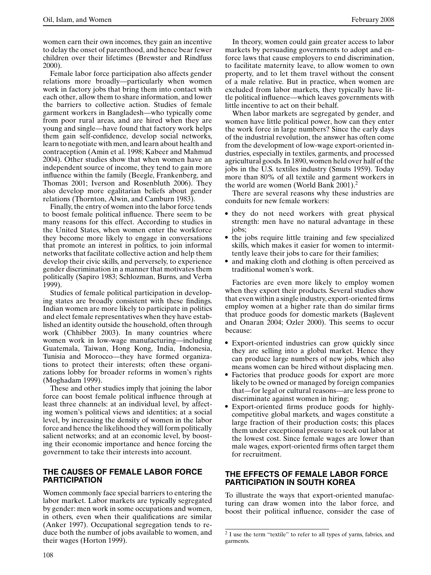women earn their own incomes, they gain an incentive to delay the onset of parenthood, and hence bear fewer children over their lifetimes (Brewster and Rindfuss 2000).

Female labor force participation also affects gender relations more broadly—–particularly when women work in factory jobs that bring them into contact with each other, allow them to share information, and lower the barriers to collective action. Studies of female garment workers in Bangladesh—–who typically come from poor rural areas, and are hired when they are young and single—–have found that factory work helps them gain self-confidence, develop social networks, learn to negotiate with men, and learn about health and contraception (Amin et al. 1998; Kabeer and Mahmud 2004). Other studies show that when women have an independent source of income, they tend to gain more influence within the family (Beegle, Frankenberg, and Thomas 2001; Iverson and Rosenbluth 2006). They also develop more egalitarian beliefs about gender relations (Thornton, Alwin, and Camburn 1983).

Finally, the entry of women into the labor force tends to boost female political influence. There seem to be many reasons for this effect. According to studies in the United States, when women enter the workforce they become more likely to engage in conversations that promote an interest in politics, to join informal networks that facilitate collective action and help them develop their civic skills, and perversely, to experience gender discrimination in a manner that motivates them politically (Sapiro 1983; Schlozman, Burns, and Verba 1999).

Studies of female political participation in developing states are broadly consistent with these findings. Indian women are more likely to participate in politics and elect female representatives when they have established an identity outside the household, often through work (Chhibber 2003). In many countries where women work in low-wage manufacturing—–including Guatemala, Taiwan, Hong Kong, India, Indonesia, Tunisia and Morocco—they have formed organizations to protect their interests; often these organizations lobby for broader reforms in women's rights (Moghadam 1999).

These and other studies imply that joining the labor force can boost female political influence through at least three channels: at an individual level, by affecting women's political views and identities; at a social level, by increasing the density of women in the labor force and hence the likelihood they will form politically salient networks; and at an economic level, by boosting their economic importance and hence forcing the government to take their interests into account.

## **THE CAUSES OF FEMALE LABOR FORCE PARTICIPATION**

Women commonly face special barriers to entering the labor market. Labor markets are typically segregated by gender: men work in some occupations and women, in others, even when their qualifications are similar (Anker 1997). Occupational segregation tends to reduce both the number of jobs available to women, and their wages (Horton 1999).

In theory, women could gain greater access to labor markets by persuading governments to adopt and enforce laws that cause employers to end discrimination, to facilitate maternity leave, to allow women to own property, and to let them travel without the consent of a male relative. But in practice, when women are excluded from labor markets, they typically have little political influence—–which leaves governments with little incentive to act on their behalf.

When labor markets are segregated by gender, and women have little political power, how can they enter the work force in large numbers? Since the early days of the industrial revolution, the answer has often come from the development of low-wage export-oriented industries, especially in textiles, garments, and processed agricultural goods. In 1890, women held over half of the jobs in the U.S. textiles industry (Smuts 1959). Today more than 80% of all textile and garment workers in the world are women (World Bank 2001).<sup>2</sup>

There are several reasons why these industries are conduits for new female workers:

- they do not need workers with great physical strength: men have no natural advantage in these jobs;
- the jobs require little training and few specialized skills, which makes it easier for women to intermittently leave their jobs to care for their families;
- and making cloth and clothing is often perceived as traditional women's work.

Factories are even more likely to employ women when they export their products. Several studies show that even within a single industry, export-oriented firms employ women at a higher rate than do similar firms that produce goods for domestic markets (Baslevent and Onaran 2004; Ozler 2000). This seems to occur because:

- Export-oriented industries can grow quickly since they are selling into a global market. Hence they can produce large numbers of new jobs, which also means women can be hired without displacing men.
- Factories that produce goods for export are more likely to be owned or managed by foreign companies that—–for legal or cultural reasons—–are less prone to discriminate against women in hiring;
- Export-oriented firms produce goods for highlycompetitive global markets, and wages constitute a large fraction of their production costs; this places them under exceptional pressure to seek out labor at the lowest cost. Since female wages are lower than male wages, export-oriented firms often target them for recruitment.

# **THE EFFECTS OF FEMALE LABOR FORCE PARTICIPATION IN SOUTH KOREA**

To illustrate the ways that export-oriented manufacturing can draw women into the labor force, and boost their political influence, consider the case of

<sup>&</sup>lt;sup>2</sup> I use the term "textile" to refer to all types of yarns, fabrics, and garments.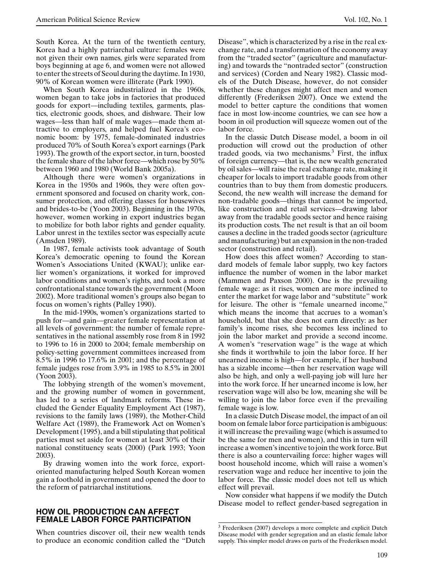South Korea. At the turn of the twentieth century, Korea had a highly patriarchal culture: females were not given their own names, girls were separated from boys beginning at age 6, and women were not allowed to enter the streets of Seoul during the daytime. In 1930, 90% of Korean women were illiterate (Park 1990).

When South Korea industrialized in the 1960s, women began to take jobs in factories that produced goods for export—–including textiles, garments, plastics, electronic goods, shoes, and dishware. Their low wages—–less than half of male wages—–made them attractive to employers, and helped fuel Korea's economic boom: by 1975, female-dominated industries produced 70% of South Korea's export earnings (Park 1993). The growth of the export sector, in turn, boosted the female share of the labor force—–which rose by 50% between 1960 and 1980 (World Bank 2005a).

Although there were women's organizations in Korea in the 1950s and 1960s, they were often government sponsored and focused on charity work, consumer protection, and offering classes for housewives and brides-to-be (Yoon 2003). Beginning in the 1970s, however, women working in export industries began to mobilize for both labor rights and gender equality. Labor unrest in the textiles sector was especially acute (Amsden 1989).

In 1987, female activists took advantage of South Korea's democratic opening to found the Korean Women's Associations United (KWAU); unlike earlier women's organizations, it worked for improved labor conditions and women's rights, and took a more confrontational stance towards the government (Moon 2002). More traditional women's groups also began to focus on women's rights (Palley 1990).

In the mid-1990s, women's organizations started to push for—–and gain—–greater female representation at all levels of government: the number of female representatives in the national assembly rose from 8 in 1992 to 1996 to 16 in 2000 to 2004; female membership on policy-setting government committees increased from 8.5% in 1996 to 17.6% in 2001; and the percentage of female judges rose from 3.9% in 1985 to 8.5% in 2001 (Yoon 2003).

The lobbying strength of the women's movement, and the growing number of women in government, has led to a series of landmark reforms. These included the Gender Equality Employment Act (1987), revisions to the family laws (1989), the Mother-Child Welfare Act (1989), the Framework Act on Women's Development (1995), and a bill stipulating that political parties must set aside for women at least 30% of their national constituency seats (2000) (Park 1993; Yoon 2003).

By drawing women into the work force, exportoriented manufacturing helped South Korean women gain a foothold in government and opened the door to the reform of patriarchal institutions.

#### **HOW OIL PRODUCTION CAN AFFECT FEMALE LABOR FORCE PARTICIPATION**

When countries discover oil, their new wealth tends to produce an economic condition called the "Dutch Disease", which is characterized by a rise in the real exchange rate, and a transformation of the economy away from the "traded sector" (agriculture and manufacturing) and towards the "nontraded sector" (construction and services) (Corden and Neary 1982). Classic models of the Dutch Disease, however, do not consider whether these changes might affect men and women differently (Frederiksen 2007). Once we extend the model to better capture the conditions that women face in most low-income countries, we can see how a boom in oil production will squeeze women out of the labor force.

In the classic Dutch Disease model, a boom in oil production will crowd out the production of other traded goods, via two mechanisms. $3$  First, the influx of foreign currency—–that is, the new wealth generated by oil sales—–will raise the real exchange rate, making it cheaper for locals to import tradable goods from other countries than to buy them from domestic producers. Second, the new wealth will increase the demand for non-tradable goods—–things that cannot be imported, like construction and retail services—–drawing labor away from the tradable goods sector and hence raising its production costs. The net result is that an oil boom causes a decline in the traded goods sector (agriculture and manufacturing) but an expansion in the non-traded sector (construction and retail).

How does this affect women? According to standard models of female labor supply, two key factors influence the number of women in the labor market (Mammen and Paxson 2000). One is the prevailing female wage: as it rises, women are more inclined to enter the market for wage labor and "substitute" work for leisure. The other is "female unearned income," which means the income that accrues to a woman's household, but that she does not earn directly: as her family's income rises, she becomes less inclined to join the labor market and provide a second income. A women's "reservation wage" is the wage at which she finds it worthwhile to join the labor force. If her unearned income is high—–for example, if her husband has a sizable income—–then her reservation wage will also be high, and only a well-paying job will lure her into the work force. If her unearned income is low, her reservation wage will also be low, meaning she will be willing to join the labor force even if the prevailing female wage is low.

In a classic Dutch Disease model, the impact of an oil boom on female labor force participation is ambiguous: it will increase the prevailing wage (which is assumed to be the same for men and women), and this in turn will increase a women's incentive to join the work force. But there is also a countervailing force: higher wages will boost household income, which will raise a women's reservation wage and reduce her incentive to join the labor force. The classic model does not tell us which effect will prevail.

Now consider what happens if we modify the Dutch Disease model to reflect gender-based segregation in

<sup>&</sup>lt;sup>3</sup> Frederiksen (2007) develops a more complete and explicit Dutch Disease model with gender segregation and an elastic female labor supply. This simpler model draws on parts of the Frederiksen model.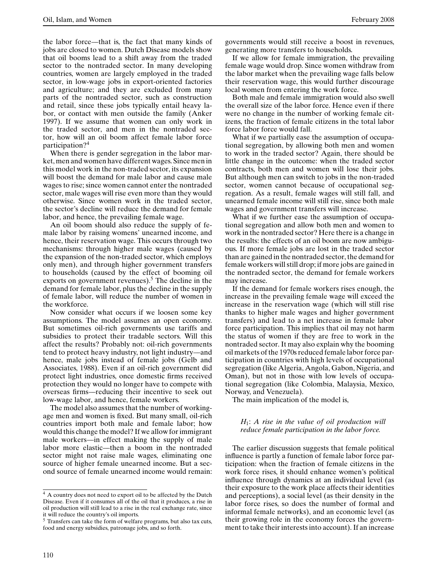the labor force—–that is, the fact that many kinds of jobs are closed to women. Dutch Disease models show that oil booms lead to a shift away from the traded sector to the nontraded sector. In many developing countries, women are largely employed in the traded sector, in low-wage jobs in export-oriented factories and agriculture; and they are excluded from many parts of the nontraded sector, such as construction and retail, since these jobs typically entail heavy labor, or contact with men outside the family (Anker 1997). If we assume that women can only work in the traded sector, and men in the nontraded sector, how will an oil boom affect female labor force participation?4

When there is gender segregation in the labor market, men and women have different wages. Since men in this model work in the non-traded sector, its expansion will boost the demand for male labor and cause male wages to rise; since women cannot enter the nontraded sector, male wages will rise even more than they would otherwise. Since women work in the traded sector, the sector's decline will reduce the demand for female labor, and hence, the prevailing female wage.

An oil boom should also reduce the supply of female labor by raising womens' unearned income, and hence, their reservation wage. This occurs through two mechanisms: through higher male wages (caused by the expansion of the non-traded sector, which employs only men), and through higher government transfers to households (caused by the effect of booming oil exports on government revenues).<sup>5</sup> The decline in the demand for female labor, plus the decline in the supply of female labor, will reduce the number of women in the workforce.

Now consider what occurs if we loosen some key assumptions. The model assumes an open economy. But sometimes oil-rich governments use tariffs and subsidies to protect their tradable sectors. Will this affect the results? Probably not: oil-rich governments tend to protect heavy industry, not light industry—–and hence, male jobs instead of female jobs (Gelb and Associates, 1988). Even if an oil-rich government did protect light industries, once domestic firms received protection they would no longer have to compete with overseas firms—–reducing their incentive to seek out low-wage labor, and hence, female workers.

The model also assumes that the number of workingage men and women is fixed. But many small, oil-rich countries import both male and female labor; how would this change the model? If we allow for immigrant male workers—–in effect making the supply of male labor more elastic—then a boom in the nontraded sector might not raise male wages, eliminating one source of higher female unearned income. But a second source of female unearned income would remain:

governments would still receive a boost in revenues, generating more transfers to households.

If we allow for female immigration, the prevailing female wage would drop. Since women withdraw from the labor market when the prevailing wage falls below their reservation wage, this would further discourage local women from entering the work force.

Both male and female immigration would also swell the overall size of the labor force. Hence even if there were no change in the number of working female citizens, the fraction of female citizens in the total labor force labor force would fall.

What if we partially ease the assumption of occupational segregation, by allowing both men and women to work in the traded sector? Again, there should be little change in the outcome: when the traded sector contracts, both men and women will lose their jobs. But although men can switch to jobs in the non-traded sector, women cannot because of occupational segregation. As a result, female wages will still fall, and unearned female income will still rise, since both male wages and government transfers will increase.

What if we further ease the assumption of occupational segregation and allow both men and women to work in the nontraded sector? Here there is a change in the results: the effects of an oil boom are now ambiguous. If more female jobs are lost in the traded sector than are gained in the nontraded sector, the demand for female workers will still drop; if more jobs are gained in the nontraded sector, the demand for female workers may increase.

If the demand for female workers rises enough, the increase in the prevailing female wage will exceed the increase in the reservation wage (which will still rise thanks to higher male wages and higher government transfers) and lead to a net increase in female labor force participation. This implies that oil may not harm the status of women if they are free to work in the nontraded sector. It may also explain why the booming oil markets of the 1970s reduced female labor force participation in countries with high levels of occupational segregation (like Algeria, Angola, Gabon, Nigeria, and Oman), but not in those with low levels of occupational segregation (like Colombia, Malaysia, Mexico, Norway, and Venezuela).

The main implication of the model is,

#### *H*1: *A rise in the value of oil production will reduce female participation in the labor force.*

The earlier discussion suggests that female political influence is partly a function of female labor force participation: when the fraction of female citizens in the work force rises, it should enhance women's political influence through dynamics at an individual level (as their exposure to the work place affects their identities and perceptions), a social level (as their density in the labor force rises, so does the number of formal and informal female networks), and an economic level (as their growing role in the economy forces the government to take their interests into account). If an increase

<sup>4</sup> A country does not need to export oil to be affected by the Dutch Disease. Even if it consumes all of the oil that it produces, a rise in oil production will still lead to a rise in the real exchange rate, since it will reduce the country's oil imports.

<sup>&</sup>lt;sup>5</sup> Transfers can take the form of welfare programs, but also tax cuts, food and energy subsidies, patronage jobs, and so forth.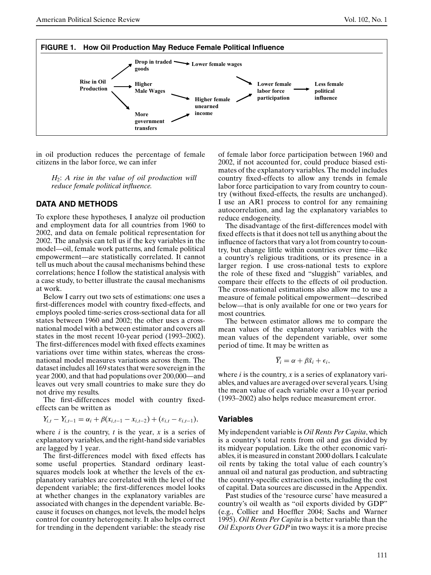

in oil production reduces the percentage of female citizens in the labor force, we can infer

*H*2: *A rise in the value of oil production will reduce female political influence.*

# **DATA AND METHODS**

To explore these hypotheses, I analyze oil production and employment data for all countries from 1960 to 2002, and data on female political representation for 2002. The analysis can tell us if the key variables in the model—–oil, female work patterns, and female political empowerment—–are statistically correlated. It cannot tell us much about the causal mechanisms behind these correlations; hence I follow the statistical analysis with a case study, to better illustrate the causal mechanisms at work.

Below I carry out two sets of estimations: one uses a first-differences model with country fixed-effects, and employs pooled time-series cross-sectional data for all states between 1960 and 2002; the other uses a crossnational model with a between estimator and covers all states in the most recent 10-year period (1993–2002). The first-differences model with fixed effects examines variations over time within states, whereas the crossnational model measures variations across them. The dataset includes all 169 states that were sovereign in the year 2000, and that had populations over 200,000—–and leaves out very small countries to make sure they do not drive my results.

The first-differences model with country fixedeffects can be written as

$$
Y_{i,t} - Y_{i,t-1} = \alpha_i + \beta(x_{i,t-1} - x_{i,t-2}) + (\varepsilon_{i,t} - \varepsilon_{i,t-1}),
$$

where  $i$  is the country,  $t$  is the year,  $x$  is a series of explanatory variables, and the right-hand side variables are lagged by 1 year.

The first-differences model with fixed effects has some useful properties. Standard ordinary leastsquares models look at whether the levels of the explanatory variables are correlated with the level of the dependent variable; the first-differences model looks at whether changes in the explanatory variables are associated with changes in the dependent variable. Because it focuses on changes, not levels, the model helps control for country heterogeneity. It also helps correct for trending in the dependent variable: the steady rise

of female labor force participation between 1960 and 2002, if not accounted for, could produce biased estimates of the explanatory variables. The model includes country fixed-effects to allow any trends in female labor force participation to vary from country to country (without fixed-effects, the results are unchanged). I use an AR1 process to control for any remaining autocorrelation, and lag the explanatory variables to reduce endogeneity.

The disadvantage of the first-differences model with fixed effects is that it does not tell us anything about the influence of factors that vary a lot from country to country, but change little within countries over time—–like a country's religious traditions, or its presence in a larger region. I use cross-national tests to explore the role of these fixed and "sluggish" variables, and compare their effects to the effects of oil production. The cross-national estimations also allow me to use a measure of female political empowerment—–described below—–that is only available for one or two years for most countries.

The between estimator allows me to compare the mean values of the explanatory variables with the mean values of the dependent variable, over some period of time. It may be written as

$$
\overline{Y}_i = \alpha + \beta \overline{x}_i + \epsilon_i,
$$

where *i* is the country, *x* is a series of explanatory variables, and values are averaged over several years. Using the mean value of each variable over a 10-year period (1993–2002) also helps reduce measurement error.

#### **Variables**

My independent variable is *Oil Rents Per Capita*, which is a country's total rents from oil and gas divided by its midyear population. Like the other economic variables, it is measured in constant 2000 dollars. I calculate oil rents by taking the total value of each country's annual oil and natural gas production, and subtracting the country-specific extraction costs, including the cost of capital. Data sources are discussed in the Appendix.

Past studies of the 'resource curse' have measured a country's oil wealth as "oil exports divided by GDP" (e.g., Collier and Hoeffler 2004; Sachs and Warner 1995). *Oil Rents Per Capita* is a better variable than the *Oil Exports Over GDP* in two ways: it is a more precise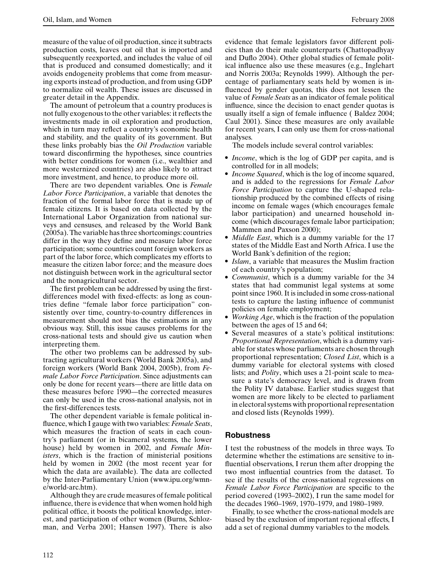measure of the value of oil production, since it subtracts production costs, leaves out oil that is imported and subsequently reexported, and includes the value of oil that is produced and consumed domestically; and it avoids endogeneity problems that come from measuring exports instead of production, and from using GDP to normalize oil wealth. These issues are discussed in greater detail in the Appendix.

The amount of petroleum that a country produces is not fully exogenous to the other variables: it reflects the investments made in oil exploration and production, which in turn may reflect a country's economic health and stability, and the quality of its government. But these links probably bias the *Oil Production* variable toward disconfirming the hypotheses, since countries with better conditions for women (i.e., wealthier and more westernized countries) are also likely to attract more investment, and hence, to produce more oil.

There are two dependent variables. One is *Female Labor Force Participation*, a variable that denotes the fraction of the formal labor force that is made up of female citizens. It is based on data collected by the International Labor Organization from national surveys and censuses, and released by the World Bank (2005a). The variable has three shortcomings: countries differ in the way they define and measure labor force participation; some countries count foreign workers as part of the labor force, which complicates my efforts to measure the citizen labor force; and the measure does not distinguish between work in the agricultural sector and the nonagricultural sector.

The first problem can be addressed by using the firstdifferences model with fixed-effects: as long as countries define "female labor force participation" consistently over time, country-to-country differences in measurement should not bias the estimations in any obvious way. Still, this issue causes problems for the cross-national tests and should give us caution when interpreting them.

The other two problems can be addressed by subtracting agricultural workers (World Bank 2005a), and foreign workers (World Bank 2004, 2005b), from *Female Labor Force Participation*. Since adjustments can only be done for recent years—–there are little data on these measures before 1990—–the corrected measures can only be used in the cross-national analysis, not in the first-differences tests.

The other dependent variable is female political influence, which I gauge with two variables: *Female Seats*, which measures the fraction of seats in each country's parliament (or in bicameral systems, the lower house) held by women in 2002, and *Female Ministers*, which is the fraction of ministerial positions held by women in 2002 (the most recent year for which the data are available). The data are collected by the Inter-Parliamentary Union (www.ipu.org/wmne/world-arc.htm).

Although they are crude measures of female political influence, there is evidence that when women hold high political office, it boosts the political knowledge, interest, and participation of other women (Burns, Schlozman, and Verba 2001; Hansen 1997). There is also evidence that female legislators favor different policies than do their male counterparts (Chattopadhyay and Duflo 2004). Other global studies of female political influence also use these measures (e.g., Inglehart and Norris 2003a; Reynolds 1999). Although the percentage of parliamentary seats held by women is influenced by gender quotas, this does not lessen the value of *Female Seats* as an indicator of female political influence, since the decision to enact gender quotas is usually itself a sign of female influence ( Baldez 2004; Caul 2001). Since these measures are only available for recent years, I can only use them for cross-national analyses.

The models include several control variables:

- *Income*, which is the log of GDP per capita, and is controlled for in all models;
- *Income Squared*, which is the log of income squared, and is added to the regressions for *Female Labor Force Participation* to capture the U-shaped relationship produced by the combined effects of rising income on female wages (which encourages female labor participation) and unearned household income (which discourages female labor participation; Mammen and Paxson 2000);
- *Middle East*, which is a dummy variable for the 17 states of the Middle East and North Africa. I use the World Bank's definition of the region;
- *Islam*, a variable that measures the Muslim fraction of each country's population;
- *Communist*, which is a dummy variable for the 34 states that had communist legal systems at some point since 1960. It is included in some cross-national tests to capture the lasting influence of communist policies on female employment;
- *Working Age*, which is the fraction of the population between the ages of 15 and 64;
- Several measures of a state's political institutions: *Proportional Representation*, which is a dummy variable for states whose parliaments are chosen through proportional representation; *Closed List*, which is a dummy variable for electoral systems with closed lists; and *Polity*, which uses a 21-point scale to measure a state's democracy level, and is drawn from the Polity IV database. Earlier studies suggest that women are more likely to be elected to parliament in electoral systems with proportional representation and closed lists (Reynolds 1999).

# **Robustness**

I test the robustness of the models in three ways. To determine whether the estimations are sensitive to influential observations, I rerun them after dropping the two most influential countries from the dataset. To see if the results of the cross-national regressions on *Female Labor Force Participation* are specific to the period covered (1993–2002), I run the same model for the decades 1960–1969, 1970–1979, and 1980–1989.

Finally, to see whether the cross-national models are biased by the exclusion of important regional effects, I add a set of regional dummy variables to the models.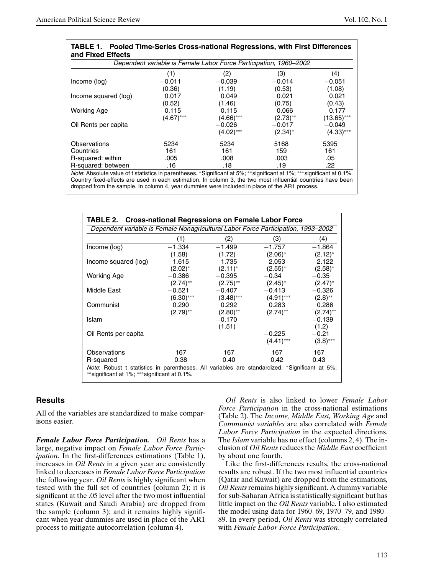|                   | TABLE 1. Pooled Time-Series Cross-national Regressions, with First Differences |
|-------------------|--------------------------------------------------------------------------------|
| and Fixed Effects |                                                                                |

| Dependent variable is Female Labor Force Participation, 1960–2002                                                   |              |              |             |               |  |  |
|---------------------------------------------------------------------------------------------------------------------|--------------|--------------|-------------|---------------|--|--|
|                                                                                                                     | (1)          | (2)          | (3)         | (4)           |  |  |
| Income (log)                                                                                                        | $-0.011$     | $-0.039$     | $-0.014$    | $-0.051$      |  |  |
|                                                                                                                     | (0.36)       | (1.19)       | (0.53)      | (1.08)        |  |  |
| Income squared (log)                                                                                                | 0.017        | 0.049        | 0.021       | 0.021         |  |  |
|                                                                                                                     | (0.52)       | (1.46)       | (0.75)      | (0.43)        |  |  |
| Working Age                                                                                                         | 0.115        | 0.115        | 0.066       | 0.177         |  |  |
|                                                                                                                     | $(4.67)$ *** | $(4.66)$ *** | $(2.73)$ ** | $(13.65)$ *** |  |  |
| Oil Rents per capita                                                                                                |              | $-0.026$     | $-0.017$    | $-0.049$      |  |  |
|                                                                                                                     |              | $(4.02)$ *** | $(2.34)^*$  | $(4.33)$ ***  |  |  |
| Observations                                                                                                        | 5234         | 5234         | 5168        | 5395          |  |  |
| Countries                                                                                                           | 161          | 161          | 159         | 161           |  |  |
| R-squared: within                                                                                                   | .005         | .008         | .003        | .05           |  |  |
| R-squared: between                                                                                                  | .16          | .18          | .19         | .22           |  |  |
| Note: Absolute value of t statistics in parentheses *Significant at 5%; **significant at 1%; ***significant at 0.1% |              |              |             |               |  |  |

Note: Absolute value of t statistics in parentheses. ∗Significant at 5%; ∗∗significant at 1%; ∗∗∗significant at 0.1%. Country fixed-effects are used in each estimation. In column 3, the two most influential countries have been dropped from the sample. In column 4, year dummies were included in place of the AR1 process.

| TABLE 2. Cross-national Regressions on Female Labor Force                                                                  |                                    |                          |                          |                        |  |  |
|----------------------------------------------------------------------------------------------------------------------------|------------------------------------|--------------------------|--------------------------|------------------------|--|--|
| Dependent variable is Female Nonagricultural Labor Force Participation, 1993–2002                                          |                                    |                          |                          |                        |  |  |
|                                                                                                                            | (1)                                | (2)                      | (3)                      | (4)                    |  |  |
| Income (log)                                                                                                               | $-1.334$<br>(1.58)                 | $-1.499$<br>(1.72)       | $-1.757$<br>$(2.06)^*$   | $-1.864$<br>$(2.12)^*$ |  |  |
| Income squared (log)                                                                                                       | 1.615<br>$(2.02)^*$                | 1.735<br>$(2.11)^*$      | 2.053<br>$(2.55)^*$      | 2.122<br>$(2.58)^*$    |  |  |
| Working Age                                                                                                                | $-0.386$<br>$(2.74)$ <sup>**</sup> | $-0.395$<br>$(2.75)$ **  | $-0.34$<br>$(2.45)^*$    | $-0.35$<br>$(2.47)^*$  |  |  |
| Middle East                                                                                                                | $-0.521$<br>$(6.30)$ ***           | $-0.407$<br>$(3.48)$ *** | $-0.413$<br>$(4.91)$ *** | $-0.326$<br>$(2.8)$ ** |  |  |
| Communist                                                                                                                  | 0.290<br>$(2.79)$ **               | 0.292<br>$(2.80)$ **     | 0.283<br>$(2.74)$ **     | 0.286<br>$(2.74)$ **   |  |  |
| Islam                                                                                                                      |                                    | $-0.170$<br>(1.51)       |                          | $-0.139$<br>(1.2)      |  |  |
| Oil Rents per capita                                                                                                       |                                    |                          | $-0.225$<br>$(4.41)$ *** | $-0.21$<br>$(3.8)***$  |  |  |
| Observations<br>R-squared<br>Note: Robust t statistics in parentheses. All variables are standardized. *Significant at 5%; | 167<br>0.38                        | 167<br>0.40              | 167<br>0.42              | 167<br>0.43            |  |  |
| **significant at 1%; ***significant at 0.1%.                                                                               |                                    |                          |                          |                        |  |  |

#### **Results**

All of the variables are standardized to make comparisons easier.

*Female Labor Force Participation. Oil Rents* has a large, negative impact on *Female Labor Force Participation*. In the first-differences estimations (Table 1), increases in *Oil Rents* in a given year are consistently linked to decreases in *Female Labor Force Participation* the following year. *Oil Rents* is highly significant when tested with the full set of countries (column 2); it is significant at the .05 level after the two most influential states (Kuwait and Saudi Arabia) are dropped from the sample (column 3); and it remains highly significant when year dummies are used in place of the AR1 process to mitigate autocorrelation (column 4).

*Oil Rents* is also linked to lower *Female Labor Force Participation* in the cross-national estimations (Table 2). The *Income, Middle East, Working Age* and *Communist variables* are also correlated with *Female Labor Force Participation* in the expected directions. The *Islam* variable has no effect (columns 2, 4). The inclusion of *Oil Rents*reduces the *Middle East* coefficient by about one fourth.

Like the first-differences results, the cross-national results are robust. If the two most influential countries (Qatar and Kuwait) are dropped from the estimations, *Oil Rents*remains highly significant. A dummy variable for sub-Saharan Africa is statistically significant but has little impact on the *Oil Rents* variable. I also estimated the model using data for 1960–69, 1970–79, and 1980– 89. In every period, *Oil Rents* was strongly correlated with *Female Labor Force Participation*.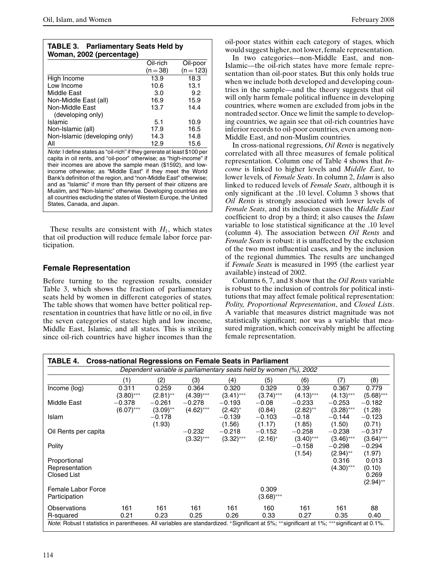|                                                                                                                                                                                                                                                                                                                                                       | Oil-rich   | Oil-poor    |
|-------------------------------------------------------------------------------------------------------------------------------------------------------------------------------------------------------------------------------------------------------------------------------------------------------------------------------------------------------|------------|-------------|
|                                                                                                                                                                                                                                                                                                                                                       | $(n = 38)$ | $(n = 123)$ |
| High Income                                                                                                                                                                                                                                                                                                                                           | 13.9       | 18.3        |
| Low Income                                                                                                                                                                                                                                                                                                                                            | 10.6       | 13.1        |
| Middle East                                                                                                                                                                                                                                                                                                                                           | 3.0        | 9.2         |
| Non-Middle East (all)                                                                                                                                                                                                                                                                                                                                 | 16.9       | 15.9        |
| Non-Middle East<br>(developing only)                                                                                                                                                                                                                                                                                                                  | 13.7       | 14.4        |
| Islamic                                                                                                                                                                                                                                                                                                                                               | 5.1        | 10.9        |
| Non-Islamic (all)                                                                                                                                                                                                                                                                                                                                     | 17.9       | 16.5        |
| Non-Islamic (developing only)                                                                                                                                                                                                                                                                                                                         | 14.3       | 14.8        |
| All                                                                                                                                                                                                                                                                                                                                                   | 12.9       | 15.6        |
| <i>Note</i> : I define states as "oil-rich" if they gererate at least \$100 per<br>capita in oil rents, and "oil-poor" otherwise; as "high-income" if<br>their incomes are above the sample mean (\$1592), and low-<br>income otherwise; as "Middle East" if they meet the World<br>Bank's definition of the region, and "non-Middle East" otherwise; |            |             |

# **TABLE 3. Parliamentary Seats Held by**

Bank's definition of the region, and "non-Middle East" otherwise; and as "Islamic" if more than fifty persent of their citizens are Muslim, and "Non-Islamic" otherwise. Developing countries are all countries excluding the states of Western Europe, the United States, Canada, and Japan.

These results are consistent with  $H_1$ , which states that oil production will reduce female labor force participation.

# **Female Representation**

Before turning to the regression results, consider Table 3, which shows the fraction of parliamentary seats held by women in different categories of states. The table shows that women have better political representation in countries that have little or no oil, in five the seven categories of states: high and low income, Middle East, Islamic, and all states. This is striking since oil-rich countries have higher incomes than the

oil-poor states within each category of stages, which would suggest higher, not lower, female representation.

In two categories—–non-Middle East, and non-Islamic—–the oil-rich states have more female representation than oil-poor states. But this only holds true when we include both developed and developing countries in the sample—–and the theory suggests that oil will only harm female political influence in developing countries, where women are excluded from jobs in the nontraded sector. Once we limit the sample to developing countries, we again see that oil-rich countries have inferior records to oil-poor countries, even among non-Middle East, and non-Muslim countries.

In cross-national regressions, *Oil Rents* is negatively correlated with all three measures of female political representation. Column one of Table 4 shows that *Income* is linked to higher levels and *Middle East*, to lower levels, of *Female Seats*. In column 2, *Islam* is also linked to reduced levels of *Female Seats*, although it is only significant at the .10 level. Column 3 shows that *Oil Rents* is strongly associated with lower levels of *Female Seats*, and its inclusion causes the *Middle East* coefficient to drop by a third; it also causes the *Islam* variable to lose statistical significance at the .10 level (column 4). The association between *Oil Rents* and *Female Seats* is robust: it is unaffected by the exclusion of the two most influential cases, and by the inclusion of the regional dummies. The results are unchanged if *Female Seats* is measured in 1995 (the earliest year available) instead of 2002.

Columns 6, 7, and 8 show that the *Oil Rents* variable is robust to the inclusion of controls for political institutions that may affect female political representation: *Polity, Proportional Representation*, and *Closed Lists*. A variable that measures district magnitude was not statistically significant; nor was a variable that measured migration, which conceivably might be affecting female representation.

| Dependent variable is parliamentary seats held by women (%), 2002<br>(2)<br>(3)<br>(4)<br>(7)<br>(1)<br>(5)<br>(6)<br>0.364<br>0.39<br>0.311<br>0.320<br>0.329<br>Income (log)<br>0.259<br>0.367<br>$(3.80)$ ***<br>$(2.81)$ **<br>$(3.41)$ ***<br>$(3.74)$ ***<br>$(4.13)$ ***<br>$(4.39)$ ***<br>$(4.13)$ ***<br>Middle East<br>$-0.378$<br>$-0.261$<br>$-0.278$<br>$-0.193$<br>$-0.08$<br>$-0.233$<br>$-0.253$<br>$(6.07)$ ***<br>$(3.09)$ **<br>$(2.42)^*$<br>(0.84)<br>$(2.82)$ **<br>$(3.28)***$<br>$(4.62)$ ***<br>$-0.144$<br>$-0.139$ | <b>Cross-national Regressions on Female Seats in Parliament</b><br>TABLE 4. |  |          |  |  |          |         |                          |
|------------------------------------------------------------------------------------------------------------------------------------------------------------------------------------------------------------------------------------------------------------------------------------------------------------------------------------------------------------------------------------------------------------------------------------------------------------------------------------------------------------------------------------------------|-----------------------------------------------------------------------------|--|----------|--|--|----------|---------|--------------------------|
|                                                                                                                                                                                                                                                                                                                                                                                                                                                                                                                                                |                                                                             |  |          |  |  |          |         |                          |
|                                                                                                                                                                                                                                                                                                                                                                                                                                                                                                                                                |                                                                             |  |          |  |  |          |         | (8)                      |
|                                                                                                                                                                                                                                                                                                                                                                                                                                                                                                                                                |                                                                             |  |          |  |  |          |         | 0.779<br>$(5.68)$ ***    |
|                                                                                                                                                                                                                                                                                                                                                                                                                                                                                                                                                |                                                                             |  |          |  |  |          |         | $-0.182$<br>(1.28)       |
| (1.93)<br>(1.56)<br>(1.17)<br>(1.85)<br>(1.50)                                                                                                                                                                                                                                                                                                                                                                                                                                                                                                 | Islam                                                                       |  | $-0.178$ |  |  | $-0.103$ | $-0.18$ | $-0.123$<br>(0.71)       |
| $-0.232$<br>Oil Rents per capita<br>$-0.218$<br>$-0.152$<br>$-0.258$<br>$-0.238$<br>$(3.32)***$<br>$(3.32)$ ***<br>$(3.40)$ ***<br>$(3.46)$ ***<br>$(2.16)^*$                                                                                                                                                                                                                                                                                                                                                                                  |                                                                             |  |          |  |  |          |         | $-0.317$<br>$(3.64)$ *** |
| $-0.298$<br>Polity<br>$-0.158$<br>(1.54)<br>$(2.94)$ **                                                                                                                                                                                                                                                                                                                                                                                                                                                                                        |                                                                             |  |          |  |  |          |         | $-0.294$<br>(1.97)       |
| Proportional<br>0.316<br>$(4.30)$ ***<br>Representation                                                                                                                                                                                                                                                                                                                                                                                                                                                                                        |                                                                             |  |          |  |  |          |         | 0.013<br>(0.10)          |
| Closed List                                                                                                                                                                                                                                                                                                                                                                                                                                                                                                                                    |                                                                             |  |          |  |  |          |         | 0.269<br>$(2.94)$ **     |
| 0.309<br>Female Labor Force<br>$(3.68)$ ***<br>Participation                                                                                                                                                                                                                                                                                                                                                                                                                                                                                   |                                                                             |  |          |  |  |          |         |                          |
| 161<br>161<br>161<br>161<br>160<br>161<br>161<br>Observations                                                                                                                                                                                                                                                                                                                                                                                                                                                                                  |                                                                             |  |          |  |  |          |         | 88                       |
| 0.21<br>0.23<br>0.26<br>0.33<br>0.35<br>R-squared<br>0.25<br>0.27<br>Note: Robust t statistics in parentheses. All variables are standardized. *Significant at 5%; **significant at 1%; ***significant at 0.1%.                                                                                                                                                                                                                                                                                                                                |                                                                             |  |          |  |  |          |         | 0.40                     |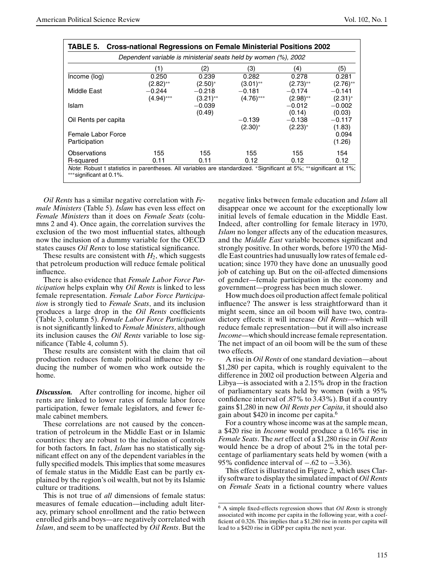| <b>Cross-national Regressions on Female Ministerial Positions 2002</b><br>TABLE 5.                                                             |                          |                                    |                          |                         |                        |  |
|------------------------------------------------------------------------------------------------------------------------------------------------|--------------------------|------------------------------------|--------------------------|-------------------------|------------------------|--|
| Dependent variable is ministerial seats held by women (%), 2002                                                                                |                          |                                    |                          |                         |                        |  |
|                                                                                                                                                | (1)                      | (2)                                | (3)                      | (4)                     | (5)                    |  |
| Income (log)                                                                                                                                   | 0.250<br>$(2.82)$ **     | 0.239<br>$(2.50)^*$                | 0.282<br>$(3.01)$ **     | 0.278<br>$(2.73)$ **    | 0.281<br>$(2.76)$ **   |  |
| Middle East                                                                                                                                    | $-0.244$<br>$(4.94)$ *** | $-0.218$<br>$(3.21)$ <sup>**</sup> | $-0.181$<br>$(4.76)$ *** | $-0.174$<br>$(2.98)$ ** | $-0.141$<br>$(2.31)^*$ |  |
| Islam                                                                                                                                          |                          | $-0.039$<br>(0.49)                 |                          | $-0.012$<br>(0.14)      | $-0.002$<br>(0.03)     |  |
| Oil Rents per capita                                                                                                                           |                          |                                    | $-0.139$<br>$(2.30)^{*}$ | $-0.138$<br>$(2.23)^*$  | $-0.117$<br>(1.83)     |  |
| Female Labor Force<br>Participation                                                                                                            |                          |                                    |                          |                         | 0.094<br>(1.26)        |  |
| <b>Observations</b><br>R-squared                                                                                                               | 155<br>0.11              | 155<br>0.11                        | 155<br>0.12              | 155<br>0.12             | 154<br>0.12            |  |
| Note: Robust t statistics in parentheses. All variables are standardized. *Significant at 5%; **significant at 1%;<br>*** significant at 0.1%. |                          |                                    |                          |                         |                        |  |

*Oil Rents* has a similar negative correlation with *Female Ministers* (Table 5). *Islam* has even less effect on *Female Ministers* than it does on *Female Seats* (columns 2 and 4). Once again, the correlation survives the exclusion of the two most influential states, although now the inclusion of a dummy variable for the OECD states causes *Oil Rents* to lose statistical significance.

These results are consistent with  $H_2$ , which suggests that petroleum production will reduce female political influence.

There is also evidence that *Female Labor Force Participation* helps explain why *Oil Rents* is linked to less female representation. *Female Labor Force Participation* is strongly tied to *Female Seats*, and its inclusion produces a large drop in the *Oil Rents* coefficients (Table 3, column 5). *Female Labor Force Participation* is not significantly linked to *Female Ministers*, although its inclusion causes the *Oil Rents* variable to lose significance (Table 4, column 5).

These results are consistent with the claim that oil production reduces female political influence by reducing the number of women who work outside the home.

*Discussion.* After controlling for income, higher oil rents are linked to lower rates of female labor force participation, fewer female legislators, and fewer female cabinet members.

These correlations are not caused by the concentration of petroleum in the Middle East or in Islamic countries: they are robust to the inclusion of controls for both factors. In fact, *Islam* has no statistically significant effect on any of the dependent variables in the fully specified models. This implies that some measures of female status in the Middle East can be partly explained by the region's oil wealth, but not by its Islamic culture or traditions.

This is not true of *all* dimensions of female status: measures of female education—including adult literacy, primary school enrollment and the ratio between enrolled girls and boys—–are negatively correlated with *Islam*, and seem to be unaffected by *Oil Rents*. But the

negative links between female education and *Islam* all disappear once we account for the exceptionally low initial levels of female education in the Middle East. Indeed, after controlling for female literacy in 1970, *Islam* no longer affects any of the education measures, and the *Middle East* variable becomes significant and strongly positive. In other words, before 1970 the Middle East countries had unusually low rates of female education; since 1970 they have done an unusually good job of catching up. But on the oil-affected dimensions of gender—–female participation in the economy and government—–progress has been much slower.

How much does oil production affect female political influence? The answer is less straightforward than it might seem, since an oil boom will have two, contradictory effects: it will increase *Oil Rents*—–which will reduce female representation—–but it will also increase *Income*—–which should increase female representation. The net impact of an oil boom will be the sum of these two effects.

A rise in *Oil Rents* of one standard deviation—–about \$1,280 per capita, which is roughly equivalent to the difference in 2002 oil production between Algeria and Libya—–is associated with a 2.15% drop in the fraction of parliamentary seats held by women (with a 95% confidence interval of .87% to 3.43%). But if a country gains \$1,280 in new *Oil Rents per Capita*, it should also gain about \$420 in income per capita.<sup>6</sup>

For a country whose income was at the sample mean, a \$420 rise in *Income* would produce a 0.16% rise in *Female Seats*. The *net* effect of a \$1,280 rise in *Oil Rents* would hence be a drop of about 2% in the total percentage of parliamentary seats held by women (with a 95% confidence interval of −.62 to −3.36).

This effect is illustrated in Figure 2, which uses Clarify software to display the simulated impact of *Oil Rents* on *Female Seats* in a fictional country where values

<sup>6</sup> A simple fixed-effects regression shows that *Oil Rents* is strongly associated with income per capita in the following year, with a coefficient of 0.326. This implies that a \$1,280 rise in rents per capita will lead to a \$420 rise in GDP per capita the next year.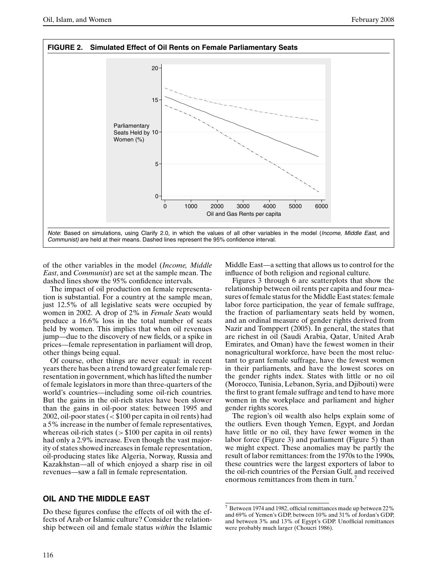

of the other variables in the model (*Income, Middle East*, and *Communist*) are set at the sample mean. The dashed lines show the 95% confidence intervals.

The impact of oil production on female representation is substantial. For a country at the sample mean, just 12.5% of all legislative seats were occupied by women in 2002. A drop of 2% in *Female Seats* would produce a 16.6% loss in the total number of seats held by women. This implies that when oil revenues jump—–due to the discovery of new fields, or a spike in prices—–female representation in parliament will drop, other things being equal.

Of course, other things are never equal: in recent years there has been a trend toward greater female representation in government, which has lifted the number of female legislators in more than three-quarters of the world's countries—–including some oil-rich countries. But the gains in the oil-rich states have been slower than the gains in oil-poor states: between 1995 and 2002, oil-poor states (*<* \$100 per capita in oil rents) had a 5% increase in the number of female representatives, whereas oil-rich states (*>* \$100 per capita in oil rents) had only a 2.9% increase. Even though the vast majority of states showed increases in female representation, oil-producing states like Algeria, Norway, Russia and Kazakhstan—–all of which enjoyed a sharp rise in oil revenues—–saw a fall in female representation.

# **OIL AND THE MIDDLE EAST**

Do these figures confuse the effects of oil with the effects of Arab or Islamic culture? Consider the relationship between oil and female status *within* the Islamic Middle East—–a setting that allows us to control for the influence of both religion and regional culture.

Figures 3 through 6 are scatterplots that show the relationship between oil rents per capita and four measures of female status for the Middle East states: female labor force participation, the year of female suffrage, the fraction of parliamentary seats held by women, and an ordinal measure of gender rights derived from Nazir and Tomppert (2005). In general, the states that are richest in oil (Saudi Arabia, Qatar, United Arab Emirates, and Oman) have the fewest women in their nonagricultural workforce, have been the most reluctant to grant female suffrage, have the fewest women in their parliaments, and have the lowest scores on the gender rights index. States with little or no oil (Morocco, Tunisia, Lebanon, Syria, and Djibouti) were the first to grant female suffrage and tend to have more women in the workplace and parliament and higher gender rights scores.

The region's oil wealth also helps explain some of the outliers. Even though Yemen, Egypt, and Jordan have little or no oil, they have fewer women in the labor force (Figure 3) and parliament (Figure 5) than we might expect. These anomalies may be partly the result of labor remittances: from the 1970s to the 1990s, these countries were the largest exporters of labor to the oil-rich countries of the Persian Gulf, and received enormous remittances from them in turn.<sup>7</sup>

<sup>7</sup> Between 1974 and 1982, official remittances made up between 22% and 69% of Yemen's GDP, between 10% and 31% of Jordan's GDP, and between 3% and 13% of Egypt's GDP. Unofficial remittances were probably much larger (Choucri 1986).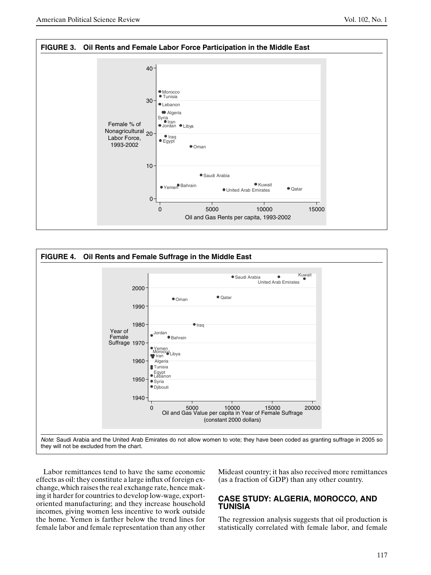



Labor remittances tend to have the same economic effects as oil: they constitute a large influx of foreign exchange, which raises the real exchange rate, hence making it harder for countries to develop low-wage, exportoriented manufacturing; and they increase household incomes, giving women less incentive to work outside the home. Yemen is farther below the trend lines for female labor and female representation than any other

Mideast country; it has also received more remittances (as a fraction of GDP) than any other country.

## **CASE STUDY: ALGERIA, MOROCCO, AND TUNISIA**

The regression analysis suggests that oil production is statistically correlated with female labor, and female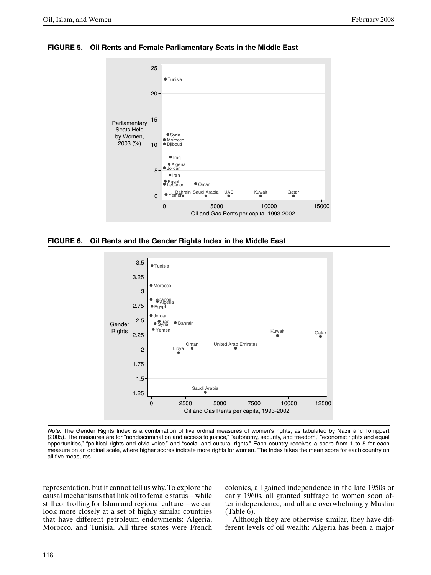



representation, but it cannot tell us why. To explore the causal mechanisms that link oil to female status—–while still controlling for Islam and regional culture—–we can look more closely at a set of highly similar countries that have different petroleum endowments: Algeria, Morocco, and Tunisia. All three states were French colonies, all gained independence in the late 1950s or early 1960s, all granted suffrage to women soon after independence, and all are overwhelmingly Muslim (Table 6).

Although they are otherwise similar, they have different levels of oil wealth: Algeria has been a major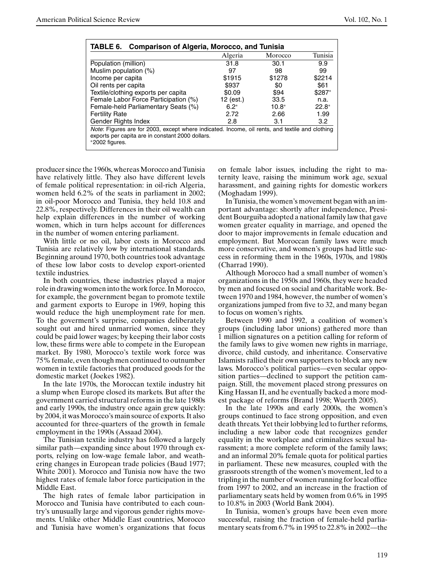| <b>Comparison of Algeria, Morocco, and Tunisia</b><br>TABLE 6.                                                                                                          |           |         |         |  |  |  |
|-------------------------------------------------------------------------------------------------------------------------------------------------------------------------|-----------|---------|---------|--|--|--|
|                                                                                                                                                                         | Algeria   | Morocco | Tunisia |  |  |  |
| Population (million)                                                                                                                                                    | 31.8      | 30.1    | 9.9     |  |  |  |
| Muslim population (%)                                                                                                                                                   | 97        | 98      | 99      |  |  |  |
| Income per capita                                                                                                                                                       | \$1915    | \$1278  | \$2214  |  |  |  |
| Oil rents per capita                                                                                                                                                    | \$937     | \$0     | \$61    |  |  |  |
| Textile/clothing exports per capita                                                                                                                                     | \$0.09    | \$94    | \$287*  |  |  |  |
| Female Labor Force Participation (%)                                                                                                                                    | 12 (est.) | 33.5    | n.a.    |  |  |  |
| Female-held Parliamentary Seats (%)                                                                                                                                     | $6.2*$    | $10.8*$ | $22.8*$ |  |  |  |
| <b>Fertility Rate</b>                                                                                                                                                   | 2.72      | 2.66    | 1.99    |  |  |  |
| Gender Rights Index                                                                                                                                                     | 2.8       | 3.1     | 3.2     |  |  |  |
| Note: Figures are for 2003, except where indicated. Income, oil rents, and textile and clothing<br>exports per capita are in constant 2000 dollars.<br>$*2002$ figures. |           |         |         |  |  |  |

producer since the 1960s, whereas Morocco and Tunisia have relatively little. They also have different levels of female political representation: in oil-rich Algeria, women held 6.2% of the seats in parliament in 2002; in oil-poor Morocco and Tunisia, they held 10.8 and 22.8%, respectively. Differences in their oil wealth can help explain differences in the number of working women, which in turn helps account for differences in the number of women entering parliament.

With little or no oil, labor costs in Morocco and Tunisia are relatively low by international standards. Beginning around 1970, both countries took advantage of these low labor costs to develop export-oriented textile industries.

In both countries, these industries played a major role in drawing women into the work force. In Morocco, for example, the government began to promote textile and garment exports to Europe in 1969, hoping this would reduce the high unemployment rate for men. To the goverment's surprise, companies deliberately sought out and hired unmarried women, since they could be paid lower wages; by keeping their labor costs low, these firms were able to compete in the European market. By 1980, Morocco's textile work force was 75% female, even though men continued to outnumber women in textile factories that produced goods for the domestic market (Joekes 1982).

In the late 1970s, the Moroccan textile industry hit a slump when Europe closed its markets. But after the government carried structural reforms in the late 1980s and early 1990s, the industry once again grew quickly: by 2004, it was Morocco's main source of exports. It also accounted for three-quarters of the growth in female employment in the 1990s (Assaad 2004).

The Tunisian textile industry has followed a largely similar path—–expanding since about 1970 through exports, relying on low-wage female labor, and weathering changes in European trade policies (Baud 1977; White 2001). Morocco and Tunisia now have the two highest rates of female labor force participation in the Middle East.

The high rates of female labor participation in Morocco and Tunisia have contributed to each country's unusually large and vigorous gender rights movements. Unlike other Middle East countries, Morocco and Tunisia have women's organizations that focus on female labor issues, including the right to maternity leave, raising the minimum work age, sexual harassment, and gaining rights for domestic workers (Moghadam 1999).

In Tunisia, the women's movement began with an important advantage: shortly after independence, President Bourguiba adopted a national family law that gave women greater equality in marriage, and opened the door to major improvements in female education and employment. But Moroccan family laws were much more conservative, and women's groups had little success in reforming them in the 1960s, 1970s, and 1980s (Charrad 1990).

Although Morocco had a small number of women's organizations in the 1950s and 1960s, they were headed by men and focused on social and charitable work. Between 1970 and 1984, however, the number of women's organizations jumped from five to 32, and many began to focus on women's rights.

Between 1990 and 1992, a coalition of women's groups (including labor unions) gathered more than 1 million signatures on a petition calling for reform of the family laws to give women new rights in marriage, divorce, child custody, and inheritance. Conservative Islamists rallied their own supporters to block any new laws. Morocco's political parties—–even secular opposition parties—–declined to support the petition campaign. Still, the movement placed strong pressures on King Hassan II, and he eventually backed a more modest package of reforms (Brand 1998; Wuerth 2005).

In the late 1990s and early 2000s, the women's groups continued to face strong opposition, and even death threats. Yet their lobbying led to further reforms, including a new labor code that recognizes gender equality in the workplace and criminalizes sexual harassment; a more complete reform of the family laws; and an informal 20% female quota for political parties in parliament. These new measures, coupled with the grassroots strength of the women's movement, led to a tripling in the number of women running for local office from 1997 to 2002, and an increase in the fraction of parliamentary seats held by women from 0.6% in 1995 to 10.8% in 2003 (World Bank 2004).

In Tunisia, women's groups have been even more successful, raising the fraction of female-held parliamentary seats from 6.7% in 1995 to 22.8% in 2002—–the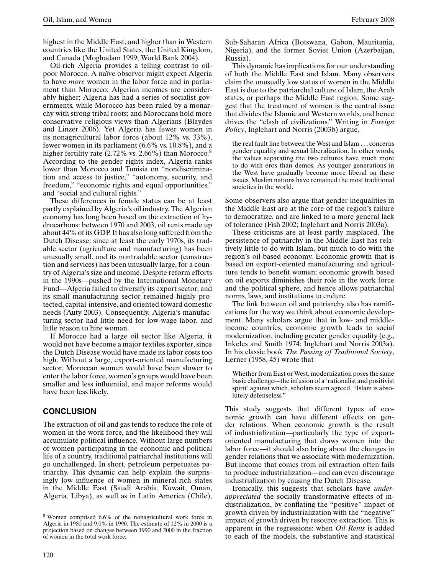highest in the Middle East, and higher than in Western countries like the United States, the United Kingdom, and Canada (Moghadam 1999; World Bank 2004).

Oil-rich Algeria provides a telling contrast to oilpoor Morocco. A na¨ıve observer might expect Algeria to have *more* women in the labor force and in parliament than Morocco: Algerian incomes are considerably higher; Algeria has had a series of socialist governments, while Morocco has been ruled by a monarchy with strong tribal roots; and Moroccans hold more conservative religious views than Algerians (Blaydes and Linzer 2006). Yet Algeria has fewer women in its nonagricultural labor force (about 12% vs. 33%), fewer women in its parliament (6.6% vs. 10.8%), and a higher fertility rate (2.72% vs. 2.66%) than Morocco.<sup>8</sup> According to the gender rights index, Algeria ranks lower than Morocco and Tunisia on "nondiscrimination and access to justice," "autonomy, security, and freedom," "economic rights and equal opportunities," and "social and cultural rights."

These differences in female status can be at least partly explained by Algeria's oil industry. The Algerian economy has long been based on the extraction of hydrocarbons: between 1970 and 2003, oil rents made up about 44% of its GDP. It has also long suffered from the Dutch Disease: since at least the early 1970s, its tradable sector (agriculture and manufacturing) has been unusually small, and its nontradable sector (construction and services) has been unusually large, for a country of Algeria's size and income. Despite reform efforts in the 1990s—–pushed by the International Monetary Fund—–Algeria failed to diversify its export sector, and its small manufacturing sector remained highly protected, capital-intensive, and oriented toward domestic needs (Auty 2003). Consequently, Algeria's manufacturing sector had little need for low-wage labor, and little reason to hire woman.

If Morocco had a large oil sector like Algeria, it would not have become a major textiles exporter, since the Dutch Disease would have made its labor costs too high. Without a large, export-oriented manufacturing sector, Moroccan women would have been slower to enter the labor force, women's groups would have been smaller and less influential, and major reforms would have been less likely.

# **CONCLUSION**

The extraction of oil and gas tends to reduce the role of women in the work force, and the likelihood they will accumulate political influence. Without large numbers of women participating in the economic and political life of a country, traditional patriarchal institutions will go unchallenged. In short, petroleum perpetuates patriarchy. This dynamic can help explain the surprisingly low influence of women in mineral-rich states in the Middle East (Saudi Arabia, Kuwait, Oman, Algeria, Libya), as well as in Latin America (Chile), Sub-Saharan Africa (Botswana, Gabon, Mauritania, Nigeria), and the former Soviet Union (Azerbaijan, Russia).

This dynamic has implications for our understanding of both the Middle East and Islam. Many observers claim the unusually low status of women in the Middle East is due to the patriarchal culture of Islam, the Arab states, or perhaps the Middle East region. Some suggest that the treatment of women is the central issue that divides the Islamic and Western worlds, and hence drives the "clash of civilizations." Writing in *Foreign Policy*, Inglehart and Norris (2003b) argue,

the real fault line between the West and Islam . . . concerns gender equality and sexual liberalization. In other words, the values separating the two cultures have much more to do with eros than demos. As younger generations in the West have gradually become more liberal on these issues, Muslim nations have remained the most traditional societies in the world.

Some observers also argue that gender inequalities in the Middle East are at the core of the region's failure to democratize, and are linked to a more general lack of tolerance (Fish 2002; Inglehart and Norris 2003a).

These criticisms are at least partly misplaced. The persistence of patriarchy in the Middle East has relatively little to do with Islam, but much to do with the region's oil-based economy. Economic growth that is based on export-oriented manufacturing and agriculture tends to benefit women; economic growth based on oil exports diminishes their role in the work force and the political sphere, and hence allows patriarchal norms, laws, and institutions to endure.

The link between oil and patriarchy also has ramifications for the way we think about economic development. Many scholars argue that in low- and middleincome countries, economic growth leads to social modernization, including greater gender equality (e.g., Inkeles and Smith 1974; Inglehart and Norris 2003a). In his classic book *The Passing of Traditional Society*, Lerner (1958, 45) wrote that

Whether from East or West, modernization poses the same basic challenge—–the infusion of a 'rationalist and positivist spirit' against which, scholars seem agreed, "Islam is absolutely defenseless."

This study suggests that different types of economic growth can have different effects on gender relations. When economic growth is the result of industrialization—–particularly the type of exportoriented manufacturing that draws women into the labor force—–it should also bring about the changes in gender relations that we associate with modernization. But income that comes from oil extraction often fails to produce industrialization—–and can even discourage industrialization by causing the Dutch Disease.

Ironically, this suggests that scholars have *underappreciated* the socially transformative effects of industrialization, by conflating the "positive" impact of growth driven by industrialization with the "negative" impact of growth driven by resource extraction. This is apparent in the regressions: when *Oil Rents* is added to each of the models, the substantive and statistical

<sup>8</sup> Women comprised 6.6% of the nonagricultural work force in Algeria in 1980 and 9.0% in 1990. The estimate of 12% in 2000 is a projection based on changes between 1990 and 2000 in the fraction of women in the total work force.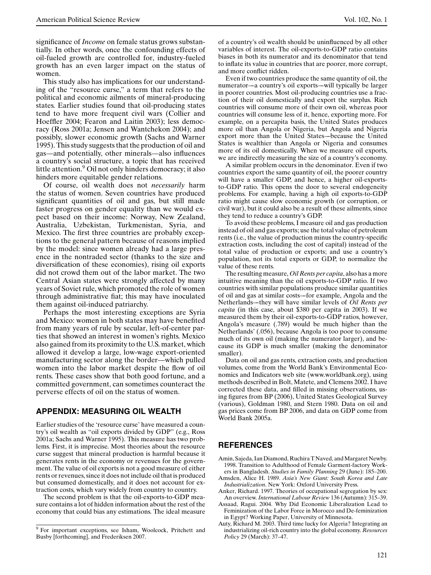significance of *Income* on female status grows substantially. In other words, once the confounding effects of oil-fueled growth are controlled for, industry-fueled growth has an even larger impact on the status of women.

This study also has implications for our understanding of the "resource curse," a term that refers to the political and economic ailments of mineral-producing states. Earlier studies found that oil-producing states tend to have more frequent civil wars (Collier and Hoeffler 2004; Fearon and Laitin 2003); less democracy (Ross 2001a; Jensen and Wantchekon 2004); and possibly, slower economic growth (Sachs and Warner 1995). This study suggests that the production of oil and gas—–and potentially, other minerals—–also influences a country's social structure, a topic that has received little attention.<sup>9</sup> Oil not only hinders democracy; it also hinders more equitable gender relations.

Of course, oil wealth does not *necessarily* harm the status of women. Seven countries have produced significant quantities of oil and gas, but still made faster progress on gender equality than we would expect based on their income: Norway, New Zealand, Australia, Uzbekistan, Turkmenistan, Syria, and Mexico. The first three countries are probably exceptions to the general pattern because of reasons implied by the model: since women already had a large presence in the nontraded sector (thanks to the size and diversification of these economies), rising oil exports did not crowd them out of the labor market. The two Central Asian states were strongly affected by many years of Soviet rule, which promoted the role of women through administrative fiat; this may have inoculated them against oil-induced patriarchy.

Perhaps the most interesting exceptions are Syria and Mexico: women in both states may have benefited from many years of rule by secular, left-of-center parties that showed an interest in women's rights. Mexico also gained from its proximity to the U.S. market, which allowed it develop a large, low-wage export-oriented manufacturing sector along the border—which pulled women into the labor market despite the flow of oil rents. These cases show that both good fortune, and a committed government, can sometimes counteract the perverse effects of oil on the status of women.

#### **APPENDIX: MEASURING OIL WEALTH**

Earlier studies of the 'resource curse' have measured a country's oil wealth as "oil exports divided by GDP" (e.g., Ross 2001a; Sachs and Warner 1995). This measure has two problems. First, it is imprecise. Most theories about the resource curse suggest that mineral production is harmful because it generates rents in the economy or revenues for the government. The value of oil exports is not a good measure of either rents or revenues, since it does not include oil that is produced but consumed domestically, and it does not account for extraction costs, which vary widely from country to country.

The second problem is that the oil-exports-to-GDP measure contains a lot of hidden information about the rest of the economy that could bias any estimations. The ideal measure of a country's oil wealth should be uninfluenced by all other variables of interest. The oil-exports-to-GDP ratio contains biases in both its numerator and its denominator that tend to inflate its value in countries that are poorer, more corrupt, and more conflict ridden.

Even if two countries produce the same quantity of oil, the numerator—a country's oil exports—will typically be larger in poorer countries. Most oil-producing countries use a fraction of their oil domestically and export the surplus. Rich countries will consume more of their own oil, whereas poor countries will consume less of it, hence, exporting more. For example, on a percapita basis, the United States produces more oil than Angola or Nigeria, but Angola and Nigeria export more than the United States—–because the United States is wealthier than Angola or Nigeria and consumes more of its oil domestically. When we measure oil exports, we are indirectly measuring the size of a country's economy.

A similar problem occurs in the denominator. Even if two countries export the same quantity of oil, the poorer country will have a smaller GDP, and hence, a higher oil-exportsto-GDP ratio. This opens the door to several endogeneity problems. For example, having a high oil exports-to-GDP ratio might cause slow economic growth (or corruption, or civil war), but it could also be a result of these ailments, since they tend to reduce a country's GDP.

To avoid these problems, I measure oil and gas production instead of oil and gas exports; use the total value of petroleum rents (i.e., the value of production minus the country-specific extraction costs, including the cost of capital) instead of the total value of production or exports; and use a country's population, not its total exports or GDP, to normalize the value of these rents.

The resulting measure, *Oil Rents per capita*, also has a more intuitive meaning than the oil exports-to-GDP ratio. If two countries with similar populations produce similar quantities of oil and gas at similar costs—–for example, Angola and the Netherlands—–they will have similar levels of *Oil Rents per capita* (in this case, about \$380 per capita in 2003). If we measured them by their oil-exports-to-GDP ratios, however, Angola's measure (.789) would be much higher than the Netherlands' (.056), because Angola is too poor to consume much of its own oil (making the numerator larger), and because its GDP is much smaller (making the denominator smaller).

Data on oil and gas rents, extraction costs, and production volumes, come from the World Bank's Environmental Economics and Indicators web site (www.worldbank.org), using methods described in Bolt, Matete, and Clemens 2002. I have corrected these data, and filled in missing observations, using figures from BP (2006), United States Geological Survey (various), Goldman 1980, and Stern 1980. Data on oil and gas prices come from BP 2006, and data on GDP come from World Bank 2005a.

#### **REFERENCES**

- Amin, Sajeda, Ian Diamond, Ruchira T Naved, and Margaret Newby. 1998. Transition to Adulthood of Female Garment-factory Workers in Bangladesh. *Studies in Family Planning* 29 (June): 185–200.
- Amsden, Alice H. 1989. *Asia's New Giant: South Korea and Late Industrialization*. New York: Oxford University Press.
- Anker, Richard. 1997. Theories of occupational segregation by sex: An overview. *International Labour Review* 136 (Autumn): 315–39.
- Assaad, Ragui. 2004. Why Did Economic Liberalization Lead to Feminization of the Labor Force in Morocco and De-feminization in Egypt? Working Paper, University of Minnesota.
- Auty, Richard M. 2003. Third time lucky for Algeria? Integrating an industrializing oil-rich country into the global economy. *Resources Policy* 29 (March): 37–47.

<sup>&</sup>lt;sup>9</sup> For important exceptions, see Isham, Woolcock, Pritchett and Busby [forthcoming], and Frederiksen 2007.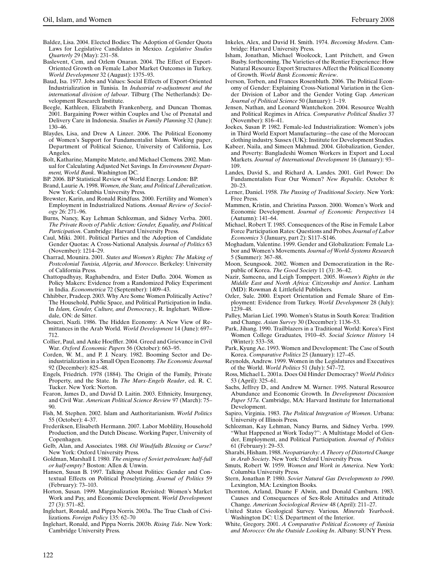- Baldez, Lisa. 2004. Elected Bodies: The Adoption of Gender Quota Laws for Legislative Candidates in Mexico. *Legislative Studies Quarterly* 29 (May): 231–58.
- Baslevent, Cem, and Ozlem Onaran. 2004. The Effect of Export-Oriented Growth on Female Labor Market Outcomes in Turkey. *World Development* 32 (August): 1375–93.
- Baud, Isa. 1977. Jobs and Values: Social Effects of Export-Oriented Industrialization in Tunisia. In *Industrial re-adjustment and the international division of labour*. Tilburg (The Netherlands): Development Research Institute.
- Beegle, Kathleen, Elizabeth Frankenberg, and Duncan Thomas. 2001. Bargaining Power within Couples and Use of Prenatal and Delivery Care in Indonesia. *Studies in Family Planning* 32 (June): 130–46.
- Blaydes, Lisa, and Drew A Linzer. 2006. The Political Economy of Women's Support for Fundamentalist Islam. Working paper, Department of Political Science, University of California, Los Angeles.
- Bolt, Katharine, Mampite Matete, and Michael Clemens. 2002. Manual for Calculating Adjusted Net Savings. In *Environment Department, World Bank*. Washington DC.

BP. 2006. BP Statistical Review of World Energy. London: BP.

- Brand, Laurie A. 1998. *Women, the State, and Political Liberalization*. New York: Columbia University Press.
- Brewster, Karin, and Ronald Rindfuss. 2000. Fertility and Women's Employment in Industrialized Nations. *Annual Review of Sociology* 26: 271–96.
- Burns, Nancy, Kay Lehman Schlozman, and Sidney Verba. 2001. *The Private Roots of Public Action: Gender, Equality, and Political Participation*. Cambridge: Harvard University Press.
- Caul, Miki. 2001. Political Parties and the Adoption of Candidate Gender Quotas: A Cross-National Analysis. *Journal of Politics* 63 (November): 1214–29.
- Charrad, Mounira. 2001. *States and Women's Rights: The Making of Postcolonial Tunisia, Algeria, and Morocco*. Berkeley: University of California Press.
- Chattopadhyay, Raghabendra, and Ester Duflo. 2004. Women as Policy Makers: Evidence from a Randomized Policy Experiment in India. *Econometrica* 72 (September): 1409–43.
- Chhibber, Pradeep. 2003. Why Are Some Women Politically Active? The Household, Public Space, and Political Participation in India. In *Islam, Gender, Culture, and Democracy*, R. Inglehart. Willowdale, ON: de Sitter.
- Choucri, Nazli. 1986. The Hidden Economy: A New View of Remittances in the Arab World. *World Development* 14 (June): 697– 712.
- Collier, Paul, and Anke Hoeffler. 2004. Greed and Grievance in Civil War. *Oxford Economic Papers* 56 (October): 663–95.
- Corden, W. M., and P. J. Neary. 1982. Booming Sector and Deindustrialization in a Small Open Economy. *The Economic Journal* 92 (December): 825–48.
- Engels, Friedrich. 1978 (1884). The Origin of the Family, Private Property, and the State. In *The Marx-Engels Reader*, ed. R. C. Tucker. New York: Norton.
- Fearon, James D., and David D. Laitin. 2003. Ethnicity, Insurgency, and Civil War. *American Political Science Review* 97 (March): 75– 90.
- Fish, M. Stephen. 2002. Islam and Authoritarianism. *World Politics* 55 (October): 4–37.
- Frederiksen, Elisabeth Hermann. 2007. Labor Moblility, Household Production, and the Dutch Disease. Working Paper, University of Copenhagen.
- Gelb, Alan, and Associates. 1988. *Oil Windfalls Blessing or Curse?* New York: Oxford University Press.
- Goldman, Marshall I. 1980. *The enigma of Soviet petroleum: half-full or half-empty?* Boston: Allen & Unwin.
- Hansen, Susan B. 1997. Talking About Politics: Gender and Contextual Effects on Political Proselytizing. *Journal of Politics* 59 (February): 73–103.
- Horton, Susan. 1999. Marginalization Revisited: Women's Market Work and Pay, and Economic Development. *World Development* 27 (3): 571–82.
- Inglehart, Ronald, and Pippa Norris. 2003a. The True Clash of Civilizations. *Foreign Policy* 135: 62–70
- Inglehart, Ronald, and Pippa Norris. 2003b. *Rising Tide*. New York: Cambridge University Press.
- Inkeles, Alex, and David H. Smith. 1974. *Becoming Modern*. Cambridge: Harvard University Press.
- Isham, Jonathan, Michael Woolcock, Lant Pritchett, and Gwen Busby. forthcoming. The Varieties of the Rentier Experience: How Natural Resource Export Structures Affect the Political Economy of Growth. *World Bank Economic Review*.
- Iverson, Torben, and Frances Rosenbluth. 2006. The Political Economy of Gender: Explaining Cross-National Variation in the Gender Division of Labor and the Gender Voting Gap. *American Journal of Political Science* 50 (January): 1–19.
- Jensen, Nathan, and Leonard Wantchekon. 2004. Resource Wealth and Political Regimes in Africa. *Comparative Political Studies* 37 (November): 816–41.
- Joekes, Susan P. 1982. Female-led Industrialization: Women's jobs in Third World Export Manufacturing—–the case of the Moroccan clothing industry. Sussex (UK): Institute for Development Studies.
- Kabeer, Naila, and Simeen Mahmud. 2004. Globalization, Gender, and Poverty: Bangladeshi Women Workers in Export and Local Markets. *Journal of International Development* 16 (January): 93– 109.
- Landes, David S., and Richard A. Landes. 2001. Girl Power: Do Fundamentalists Fear Our Women? *New Republic*. October 8: 20–23.
- Lerner, Daniel. 1958. *The Passing of Traditional Society*. New York: Free Press.
- Mammen, Kristin, and Christina Paxson. 2000. Women's Work and Economic Development. *Journal of Economic Perspectives* 14 (Autumn): 141–64.
- Michael, Robert T. 1985. Consequences of the Rise in Female Labor Force Participation Rates: Questions and Probes. *Journal of Labor Economics* 3 (January, part 2): S117–S146.
- Moghadam, Valentine. 1999. Gender and Globalization: Female Labor and Women's Movements. *Journal of World-Systems Research* 5 (Summer): 367–88.
- Moon, Seungsook. 2002. Women and Democratization in the Republic of Korea. *The Good Society* 11 (3): 36–42.
- Nazir, Sameena, and Leigh Tomppert. 2005. *Women's Rights in the Middle East and North Africa: Citizenship and Justice*. Lanham (MD): Rowman & Littlefield Publishers.
- Ozler, Sule. 2000. Export Orientation and Female Share of Employment: Evidence from Turkey. *World Development* 28 (July): 1239–48.
- Palley, Marian Lief. 1990. Women's Status in South Korea: Tradition and Change. *Asian Survey* 30 (December): 1136–53.
- Park, Jihang. 1990. Trailblazers in a Traditional World: Korea's First Women College Graduates, 1910–45. *Social Science History* 14 (Winter): 533–58.
- Park, Kyung Ae. 1993. Women and Development: The Case of South Korea. *Comparative Politics* 25 (January): 127–45.
- Reynolds, Andrew. 1999. Women in the Legislatures and Executives of the World. *World Politics* 51 (July): 547–72.
- Ross, Michael L. 2001a. Does Oil Hinder Democracy? *World Politics* 53 (April): 325–61.
- Sachs, Jeffrey D., and Andrew M. Warner. 1995. Natural Resource Abundance and Economic Growth. In *Development Discussion Paper 517a*. Cambridge, MA: Harvard Institute for International Development.
- Sapiro, Virginia. 1983. *The Political Integration of Women*. Urbana: University of Illinois Press.
- Schlozman, Kay Lehman, Nancy Burns, and Sidney Verba. 1999. "What Happened at Work Today?": A Multistage Model of Gender, Employment, and Political Participation. *Journal of Politics* 61 (February): 29–53.
- Sharabi, Hisham. 1988. *Neopatriarchy: A Theory of Distorted Change in Arab Society*. New York: Oxford University Press.
- Smuts, Robert W. 1959. *Women and Work in America*. New York: Columbia University Press.
- Stern, Jonathan P. 1980. *Soviet Natural Gas Developments to 1990*. Lexington, MA: Lexington Books.
- Thornton, Arland, Duane F Alwin, and Donald Camburn. 1983. Causes and Consequences of Sex-Role Attitudes and Attitude Change. *American Sociological Review* 48 (April): 211–27.
- United States Geological Survey. Various. *Minerals Yearbook*. Washington DC: U.S. Department of the Interior.
- White, Gregory. 2001. *A Comparative Political Economy of Tunisia and Morocco: On the Outside Looking In*. Albany: SUNY Press.